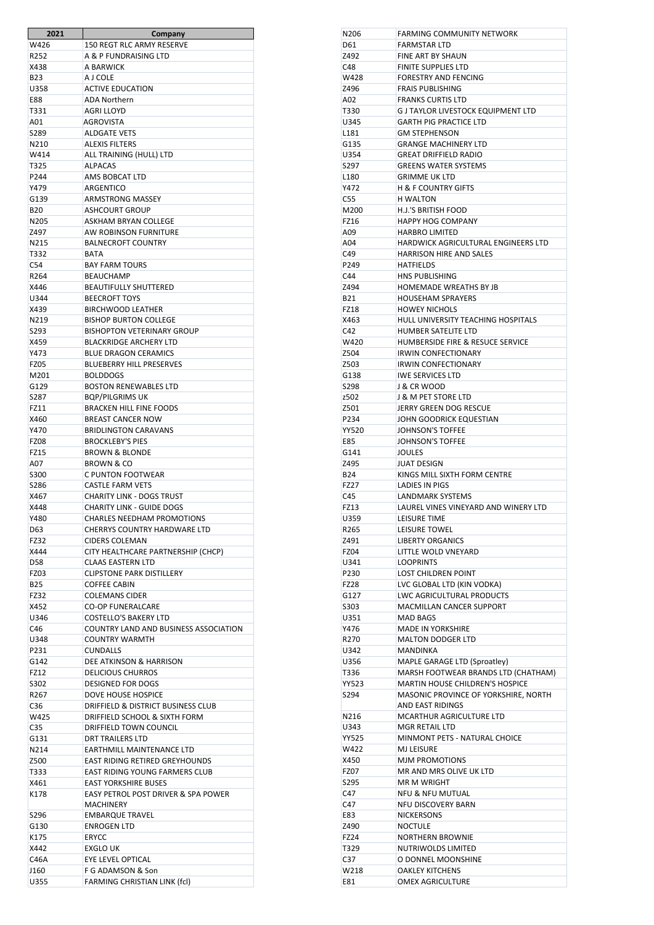| 2021             | <b>Company</b>                                 |
|------------------|------------------------------------------------|
| W426             | <b>150 REGT RLC ARMY RESERVE</b>               |
| R252             | A & P FUNDRAISING LTD                          |
| X438             | A BARWICK                                      |
| <b>B23</b>       | A LCOLE                                        |
| U358             | <b>ACTIVE EDUCATION</b>                        |
| <b>E88</b>       | <b>ADA Northern</b>                            |
| T331             | <b>AGRI LLOYD</b>                              |
| A01              | AGROVISTA                                      |
| S289             | <b>ALDGATE VETS</b>                            |
|                  |                                                |
| N210             | <b>ALEXIS FILTERS</b>                          |
| W414             | ALL TRAINING (HULL) LTD                        |
| T325             | <b>ALPACAS</b>                                 |
| P <sub>244</sub> | AMS BOBCAT LTD                                 |
| Y479             | <b>ARGENTICO</b>                               |
| G139             | <b>ARMSTRONG MASSEY</b>                        |
| <b>B20</b>       | <b>ASHCOURT GROUP</b>                          |
| N205             | <b>ASKHAM BRYAN COLLEGE</b>                    |
| 7497             | <b>AW ROBINSON FURNITURE</b>                   |
| N215             | <b>BALNECROFT COUNTRY</b>                      |
| T332             | <b>BATA</b>                                    |
| C54              | <b>BAY FARM TOURS</b>                          |
| R264             | <b>BEAUCHAMP</b>                               |
| X446             | <b>BEAUTIFULLY SHUTTERED</b>                   |
| U344             | <b>BEECROFT TOYS</b>                           |
| X439             | <b>BIRCHWOOD LEATHER</b>                       |
| N219             | <b>BISHOP BURTON COLLEGE</b>                   |
|                  |                                                |
| S293             | <b>BISHOPTON VETERINARY GROUP</b>              |
| X459             | <b>BLACKRIDGE ARCHERY LTD</b>                  |
| Y473             | <b>BLUE DRAGON CERAMICS</b>                    |
| <b>FZ05</b>      | <b>BLUEBERRY HILL PRESERVES</b>                |
| M201             | <b>BOLDDOGS</b>                                |
| G129             | <b>BOSTON RENEWABLES LTD</b>                   |
| S287             | <b>BQP/PILGRIMS UK</b>                         |
| FZ11             | <b>BRACKEN HILL FINE FOODS</b>                 |
| X460             | <b>BREAST CANCER NOW</b>                       |
| Y470             | <b>BRIDLINGTON CARAVANS</b>                    |
| <b>FZ08</b>      | <b>BROCKLEBY'S PIES</b>                        |
| <b>FZ15</b>      | <b>BROWN &amp; BLONDE</b>                      |
| A07              | <b>BROWN &amp; CO</b>                          |
| S300             | <b>C PUNTON FOOTWEAR</b>                       |
|                  |                                                |
| S286             | <b>CASTLE FARM VETS</b>                        |
| X467             | <b>CHARITY LINK - DOGS TRUST</b>               |
| X448             | <b>CHARITY LINK - GUIDE DOGS</b>               |
| Y480             | <b>CHARLES NEEDHAM PROMOTIONS</b>              |
| D <sub>63</sub>  | CHERRYS COUNTRY HARDWARE LTD                   |
| <b>FZ32</b>      | <b>CIDERS COLEMAN</b>                          |
| X444             | CITY HEALTHCARE PARTNERSHIP (CHCP)             |
| <b>D58</b>       | <b>CLAAS EASTERN LTD</b>                       |
| FZ03             | <b>CLIPSTONE PARK DISTILLERY</b>               |
| <b>B25</b>       | <b>COFFEE CABIN</b>                            |
| FZ32             | <b>COLEMANS CIDER</b>                          |
| X452             | <b>CO-OP FUNERALCARE</b>                       |
| U346             | <b>COSTELLO'S BAKERY LTD</b>                   |
| C46              | COUNTRY LAND AND BUSINESS ASSOCIATION          |
| U348             | <b>COUNTRY WARMTH</b>                          |
| P231             | <b>CUNDALLS</b>                                |
| G142             | DEE ATKINSON & HARRISON                        |
|                  |                                                |
| FZ12             | <b>DELICIOUS CHURROS</b>                       |
| S302             | <b>DESIGNED FOR DOGS</b>                       |
| R <sub>267</sub> | DOVE HOUSE HOSPICE                             |
| C <sub>36</sub>  | DRIFFIELD & DISTRICT BUSINESS CLUB             |
| W425             | DRIFFIELD SCHOOL & SIXTH FORM                  |
| C <sub>35</sub>  | DRIFFIELD TOWN COUNCIL                         |
| G131             | <b>DRT TRAILERS LTD</b>                        |
| N214             | EARTHMILL MAINTENANCE LTD                      |
| Z500             | <b>EAST RIDING RETIRED GREYHOUNDS</b>          |
| T333             | <b>EAST RIDING YOUNG FARMERS CLUB</b>          |
| X461             | <b>EAST YORKSHIRE BUSES</b>                    |
| K178             | <b>EASY PETROL POST DRIVER &amp; SPA POWER</b> |
|                  | <b>MACHINERY</b>                               |
| S <sub>296</sub> | <b>EMBARQUE TRAVEL</b>                         |
|                  | <b>ENROGEN LTD</b>                             |
| G130             |                                                |
| K175             | <b>ERYCC</b>                                   |
| X442             | <b>EXGLO UK</b>                                |
| C46A             | EYE LEVEL OPTICAL                              |
| J160             | F G ADAMSON & Son                              |
| U355             | FARMING CHRISTIAN LINK (fcl)                   |

| N206                | <b>FARMING COMMUNITY NETWORK</b>                                             |
|---------------------|------------------------------------------------------------------------------|
| D61                 | FARMSTAR LTD                                                                 |
| Z492                | FINE ART BY SHAUN                                                            |
| C48<br>W428         | <b>FINITE SUPPLIES LTD</b><br><b>FORESTRY AND FENCING</b>                    |
| Z496                | <b>FRAIS PUBLISHING</b>                                                      |
| A02                 | <b>FRANKS CURTIS LTD</b>                                                     |
| T330                | <b>G J TAYLOR LIVESTOCK EQUIPMENT LTD</b>                                    |
| U345                | <b>GARTH PIG PRACTICE LTD</b>                                                |
| L <sub>181</sub>    | <b>GM STEPHENSON</b>                                                         |
| G135                | <b>GRANGE MACHINERY LTD</b>                                                  |
| U354                | <b>GREAT DRIFFIELD RADIO</b>                                                 |
| S297                | <b>GREENS WATER SYSTEMS</b>                                                  |
| L <sub>180</sub>    | <b>GRIMME UK LTD</b>                                                         |
| Y472                | <b>H &amp; F COUNTRY GIFTS</b>                                               |
| C55                 | <b>H WALTON</b>                                                              |
| M200                | H.J.'S BRITISH FOOD                                                          |
| <b>FZ16</b>         | <b>HAPPY HOG COMPANY</b>                                                     |
| A09                 | <b>HARBRO LIMITED</b>                                                        |
| A04<br>C49          | <b>HARDWICK AGRICULTURAL ENGINEERS LTD</b><br><b>HARRISON HIRE AND SALES</b> |
| P249                | <b>HATFIELDS</b>                                                             |
| C44                 | HNS PUBLISHING                                                               |
| Z494                | <b>HOMEMADE WREATHS BY JB</b>                                                |
| <b>B21</b>          | <b>HOUSEHAM SPRAYERS</b>                                                     |
| FZ18                | <b>HOWEY NICHOLS</b>                                                         |
| X463                | HULL UNIVERSITY TEACHING HOSPITALS                                           |
| C42                 | HUMBER SATELITE LTD                                                          |
| W420                | <b>HUMBERSIDE FIRE &amp; RESUCE SERVICE</b>                                  |
| Z504                | <b>IRWIN CONFECTIONARY</b>                                                   |
| Z503                | <b>IRWIN CONFECTIONARY</b>                                                   |
| G138                | <b>IWE SERVICES LTD</b>                                                      |
| S298                | <b>J &amp; CR WOOD</b>                                                       |
| z502                | <b>J &amp; M PET STORE LTD</b>                                               |
| Z501<br>P234        | <b>JERRY GREEN DOG RESCUE</b><br>JOHN GOODRICK EQUESTIAN                     |
| <b>YY520</b>        | <b>JOHNSON'S TOFFEE</b>                                                      |
| E85                 | <b>JOHNSON'S TOFFEE</b>                                                      |
| G141                | <b>JOULES</b>                                                                |
| Z495                | <b>JUAT DESIGN</b>                                                           |
|                     |                                                                              |
| <b>B24</b>          | KINGS MILL SIXTH FORM CENTRE                                                 |
| <b>FZ27</b>         | <b>LADIES IN PIGS</b>                                                        |
| C45                 | <b>LANDMARK SYSTEMS</b>                                                      |
| FZ13                | LAUREL VINES VINEYARD AND WINERY LTD                                         |
| U359                | <b>LEISURE TIME</b>                                                          |
| R265                | LEISURE TOWEL                                                                |
| Z491                | <b>LIBERTY ORGANICS</b>                                                      |
| <b>FZ04</b>         | LITTLE WOLD VNEYARD                                                          |
| U341                | <b>LOOPRINTS</b>                                                             |
| P230                | <b>LOST CHILDREN POINT</b>                                                   |
| <b>FZ28</b><br>G127 | LVC GLOBAL LTD (KIN VODKA)<br>LWC AGRICULTURAL PRODUCTS                      |
| S303                | <b>MACMILLAN CANCER SUPPORT</b>                                              |
| U351                | <b>MAD BAGS</b>                                                              |
| Y476                | <b>MADE IN YORKSHIRE</b>                                                     |
| R270                | <b>MALTON DODGER LTD</b>                                                     |
| U342                | <b>MANDINKA</b>                                                              |
| U356                | MAPLE GARAGE LTD (Sproatley)                                                 |
| T336                | MARSH FOOTWEAR BRANDS LTD (CHATHAM)                                          |
| <b>YY523</b>        | <b>MARTIN HOUSE CHILDREN'S HOSPICE</b>                                       |
| S294                | MASONIC PROVINCE OF YORKSHIRE, NORTH                                         |
|                     | <b>AND EAST RIDINGS</b>                                                      |
| N216                | <b>MCARTHUR AGRICULTURE LTD</b>                                              |
| U343<br>YY525       | MGR RETAIL LTD<br>MINMONT PETS - NATURAL CHOICE                              |
| W422                | <b>MJ LEISURE</b>                                                            |
| X450                | <b>MJM PROMOTIONS</b>                                                        |
| <b>FZ07</b>         | MR AND MRS OLIVE UK LTD                                                      |
| S295                | <b>MR M WRIGHT</b>                                                           |
| C47                 | <b>NFU &amp; NFU MUTUAL</b>                                                  |
| C47                 | <b>NFU DISCOVERY BARN</b>                                                    |
| E83                 | <b>NICKERSONS</b>                                                            |
| Z490                | <b>NOCTULE</b>                                                               |
| FZ24                | <b>NORTHERN BROWNIE</b>                                                      |
| T329                | NUTRIWOLDS LIMITED                                                           |
| C37                 | O DONNEL MOONSHINE                                                           |
| W218<br>E81         | <b>OAKLEY KITCHENS</b><br><b>OMEX AGRICULTURE</b>                            |